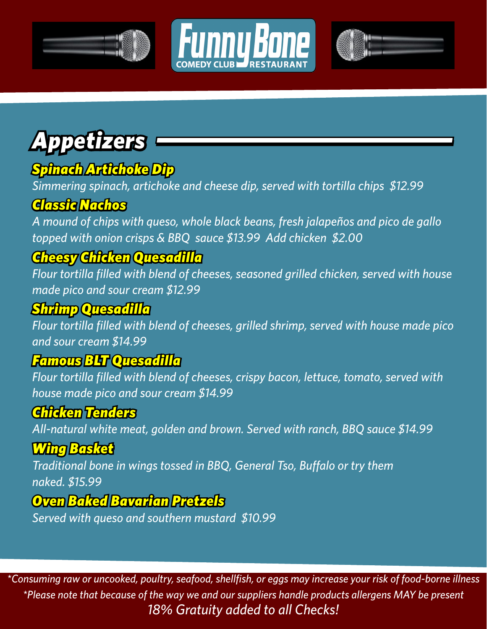





# *Appetizers*

### *Spinach Artichoke Dip*

*Simmering spinach, artichoke and cheese dip, served with tortilla chips \$12.99*

#### *Classic Nachos*

*A mound of chips with queso, whole black beans, fresh jalapeños and pico de gallo topped with onion crisps & BBQ sauce \$13.99 Add chicken \$2.00*

### *Cheesy Chicken Quesadilla*

*Flour tortilla filled with blend of cheeses, seasoned grilled chicken, served with house made pico and sour cream \$12.99*

### *Shrimp Quesadilla*

*Flour tortilla filled with blend of cheeses, grilled shrimp, served with house made pico and sour cream \$14.99*

#### *Famous BLT Quesadilla*

*Flour tortilla filled with blend of cheeses, crispy bacon, lettuce, tomato, served with house made pico and sour cream \$14.99*

### *Chicken Tenders*

*All-natural white meat, golden and brown. Served with ranch, BBQ sauce \$14.99* 

#### *Wing Basket*

*Traditional bone in wings tossed in BBQ, General Tso, Buffalo or try them naked. \$15.99*

#### *Oven Baked Bavarian Pretzels*

*Served with queso and southern mustard \$10.99*

*\*Consuming raw or uncooked, poultry, seafood, shellfish, or eggs may increase your risk of food-borne illness \*Please note that because of the way we and our suppliers handle products allergens MAY be present 18% Gratuity added to all Checks!*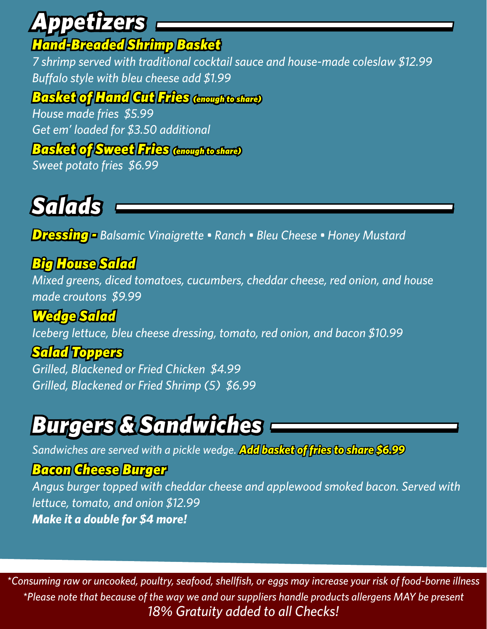### *Appetizers Hand-Breaded Shrimp Basket*

*7 shrimp served with traditional cocktail sauce and house-made coleslaw \$12.99 Buffalo style with bleu cheese add \$1.99*

#### *Basket of Hand Cut Fries (enough to share)*

*House made fries \$5.99 Get em' loaded for \$3.50 additional*

#### *Basket of Sweet Fries (enough to share)*

*Sweet potato fries \$6.99*

# *Salads*

*Dressing - Balsamic Vinaigrette • Ranch • Bleu Cheese • Honey Mustard*

### *Big House Salad*

*Mixed greens, diced tomatoes, cucumbers, cheddar cheese, red onion, and house made croutons \$9.99*

*Wedge Salad Iceberg lettuce, bleu cheese dressing, tomato, red onion, and bacon \$10.99*

#### *Salad Toppers*

*Grilled, Blackened or Fried Chicken \$4.99 Grilled, Blackened or Fried Shrimp (5) \$6.99*

## *Burgers & Sandwiches*

*Sandwiches are served with a pickle wedge. Add basket of fries to share \$6.99*

#### *Bacon Cheese Burger*

*Angus burger topped with cheddar cheese and applewood smoked bacon. Served with lettuce, tomato, and onion \$12.99 Make it a double for \$4 more!*

*\*Consuming raw or uncooked, poultry, seafood, shellfish, or eggs may increase your risk of food-borne illness \*Please note that because of the way we and our suppliers handle products allergens MAY be present 18% Gratuity added to all Checks!*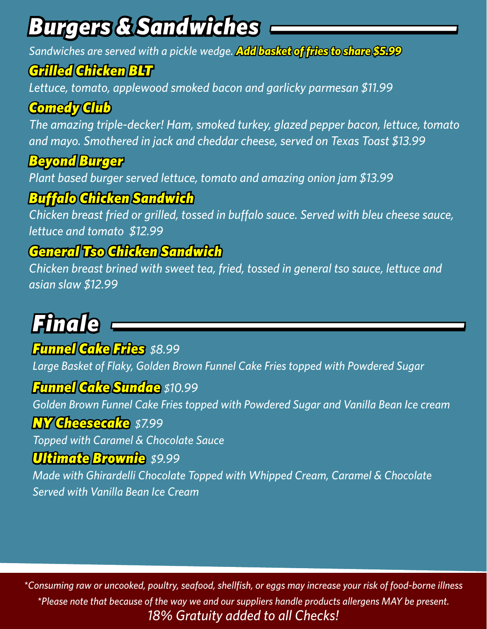# *Burgers & Sandwiches*

*Sandwiches are served with a pickle wedge. Add basket of fries to share \$5.99*

#### *Grilled Chicken BLT*

*Lettuce, tomato, applewood smoked bacon and garlicky parmesan \$11.99*

### *Comedy Club*

*The amazing triple-decker! Ham, smoked turkey, glazed pepper bacon, lettuce, tomato and mayo. Smothered in jack and cheddar cheese, served on Texas Toast \$13.99*

#### *Beyond Burger*

*Plant based burger served lettuce, tomato and amazing onion jam \$13.99*

### *Buffalo Chicken Sandwich*

*Chicken breast fried or grilled, tossed in buffalo sauce. Served with bleu cheese sauce, lettuce and tomato \$12.99*

#### *General Tso Chicken Sandwich*

*Chicken breast brined with sweet tea, fried, tossed in general tso sauce, lettuce and asian slaw \$12.99*

# *Finale*

#### *Funnel Cake Fries \$8.99*

*Large Basket of Flaky, Golden Brown Funnel Cake Fries topped with Powdered Sugar*

#### *Funnel Cake Sundae \$10.99*

*Golden Brown Funnel Cake Fries topped with Powdered Sugar and Vanilla Bean Ice cream*

#### *NY Cheesecake \$7.99*

*Topped with Caramel & Chocolate Sauce*

#### *Ultimate Brownie \$9.99*

*Made with Ghirardelli Chocolate Topped with Whipped Cream, Caramel & Chocolate Served with Vanilla Bean Ice Cream*

*\*Consuming raw or uncooked, poultry, seafood, shellfish, or eggs may increase your risk of food-borne illness \*Please note that because of the way we and our suppliers handle products allergens MAY be present. 18% Gratuity added to all Checks!*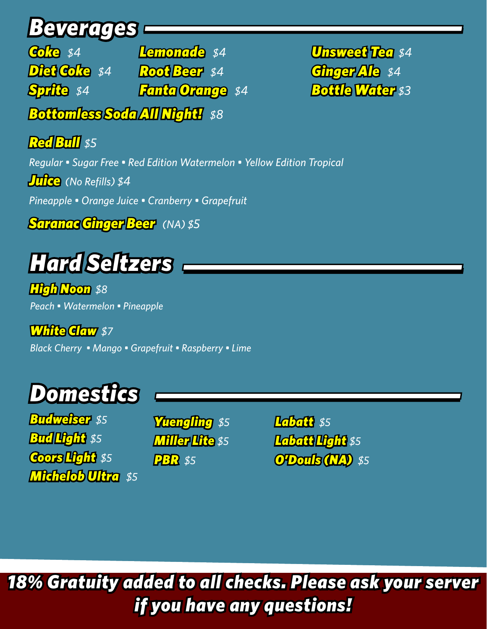## *Beverages*

*Coke \$4 Diet Coke \$4 Root Beer \$4 Sprite \$4 Bottomless Soda All Night! \$8 Lemonade \$4 Fanta Orange \$4*

*Unsweet Tea \$4 Ginger Ale \$4 Bottle Water \$3*

#### *Red Bull \$5*

*Regular • Sugar Free • Red Edition Watermelon • Yellow Edition Tropical Juice (No Refills) \$4 Pineapple • Orange Juice • Cranberry • Grapefruit*

*Saranac Ginger Beer (NA) \$5*

## *Hard Seltzers*

*High Noon \$8 Peach • Watermelon • Pineapple* 

*White Claw \$7 Black Cherry • Mango • Grapefruit • Raspberry • Lime*

# *Domestics*

*Budweiser \$5 Bud Light \$5 Coors Light \$5 Michelob Ultra \$5*

*Yuengling \$5 Miller Lite \$5 PBR \$5*

*Labatt \$5 Labatt Light \$5 O'Douls (NA) \$5*

### *18% Gratuity added to all checks. Please ask your server if you have any questions!*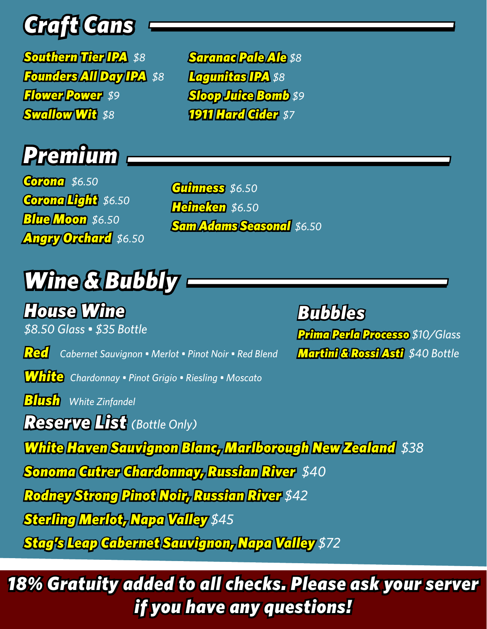# *Craft Cans*

*Southern Tier IPA \$8 Founders All Day IPA \$8 Flower Power \$9 Swallow Wit \$8* 

*Saranac Pale Ale \$8 Lagunitas IPA \$8 Sloop Juice Bomb \$9 1911 Hard Cider \$7*



*Corona \$6.50 Corona Light \$6.50 Blue Moon \$6.50 Angry Orchard \$6.50*

*Guinness \$6.50 Heineken \$6.50 Sam Adams Seasonal \$6.50*

# *Wine & Bubbly*

*House Wine*

*\$8.50 Glass • \$35 Bottle*

*Red Cabernet Sauvignon • Merlot • Pinot Noir • Red Blend*

*White Chardonnay • Pinot Grigio • Riesling • Moscato* 

*Blush White Zinfandel* 

*Reserve List (Bottle Only)*

*White Haven Sauvignon Blanc, Marlborough New Zealand \$38*

*Sonoma Cutrer Chardonnay, Russian River \$40*

*Rodney Strong Pinot Noir, Russian River \$42*

*Sterling Merlot, Napa Valley \$45*

*Stag's Leap Cabernet Sauvignon, Napa Valley \$72*

*18% Gratuity added to all checks. Please ask your server if you have any questions!*

*Bubbles Prima Perla Processo \$10/Glass Martini & Rossi Asti \$40 Bottle*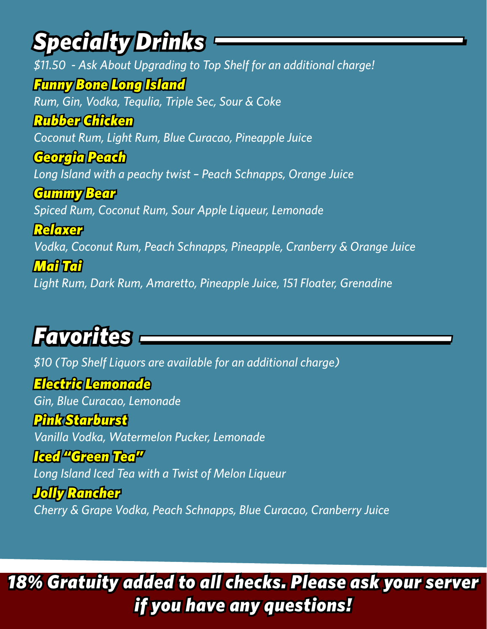## *Specialty Drinks*

*\$11.50 - Ask About Upgrading to Top Shelf for an additional charge! Funny Bone Long Island Rum, Gin, Vodka, Tequlia, Triple Sec, Sour & Coke Rubber Chicken Coconut Rum, Light Rum, Blue Curacao, Pineapple Juice Georgia Peach Long Island with a peachy twist – Peach Schnapps, Orange Juice Gummy Bear Spiced Rum, Coconut Rum, Sour Apple Liqueur, Lemonade Relaxer Vodka, Coconut Rum, Peach Schnapps, Pineapple, Cranberry & Orange Juice Mai Tai Light Rum, Dark Rum, Amaretto, Pineapple Juice, 151 Floater, Grenadine*

## *Favorites*

*\$10 (Top Shelf Liquors are available for an additional charge)*

*Electric Lemonade Gin, Blue Curacao, Lemonade Pink Starburst*

*Vanilla Vodka, Watermelon Pucker, Lemonade*

*Iced "Green Tea" Long Island Iced Tea with a Twist of Melon Liqueur*

*Jolly Rancher Cherry & Grape Vodka, Peach Schnapps, Blue Curacao, Cranberry Juice* 

*18% Gratuity added to all checks. Please ask your server if you have any questions!*